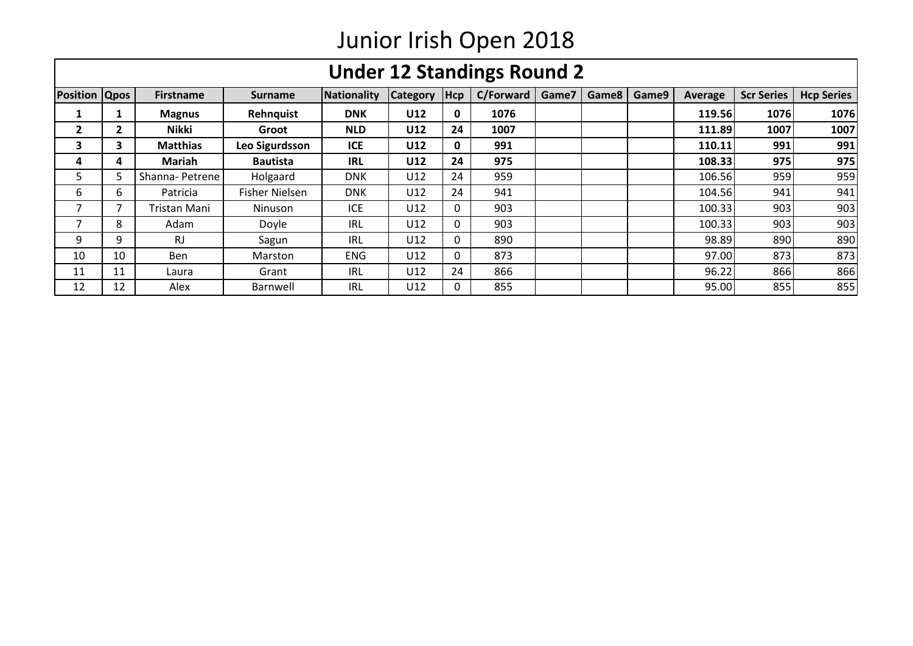|                      |              |                  |                       |             |                 |              | <b>Under 12 Standings Round 2</b> |       |       |       |         |                   |                   |
|----------------------|--------------|------------------|-----------------------|-------------|-----------------|--------------|-----------------------------------|-------|-------|-------|---------|-------------------|-------------------|
| <b>Position Qpos</b> |              | <b>Firstname</b> | <b>Surname</b>        | Nationality | <b>Category</b> | <b>Hcp</b>   | C/Forward                         | Game7 | Game8 | Game9 | Average | <b>Scr Series</b> | <b>Hcp Series</b> |
|                      |              | <b>Magnus</b>    | Rehnquist             | <b>DNK</b>  | U12             | 0            | 1076                              |       |       |       | 119.56  | 1076              | 1076              |
| 2                    | $\mathbf{2}$ | Nikki            | Groot                 | <b>NLD</b>  | U12             | 24           | 1007                              |       |       |       | 111.89  | 1007              | 1007              |
| 3                    | 3.           | <b>Matthias</b>  | Leo Sigurdsson        | <b>ICE</b>  | U12             | 0            | 991                               |       |       |       | 110.11  | 991               | 991               |
| 4                    | 4            | <b>Mariah</b>    | <b>Bautista</b>       | <b>IRL</b>  | U12             | 24           | 975                               |       |       |       | 108.33  | 975               | 975               |
| 5                    |              | Shanna-Petrene   | Holgaard              | <b>DNK</b>  | U12             | 24           | 959                               |       |       |       | 106.56  | 959               | 959               |
| 6                    | 6            | Patricia         | <b>Fisher Nielsen</b> | <b>DNK</b>  | U12             | 24           | 941                               |       |       |       | 104.56  | 941               | 941               |
|                      |              | Tristan Mani     | <b>Ninuson</b>        | <b>ICE</b>  | U12             | 0            | 903                               |       |       |       | 100.33  | 903               | 903               |
| 7                    | 8            | Adam             | Doyle                 | IRL         | U12             | $\mathbf{0}$ | 903                               |       |       |       | 100.33  | 903               | 903               |
| 9                    | 9            | RJ               | Sagun                 | IRL         | U12             | $\mathbf{0}$ | 890                               |       |       |       | 98.89   | 890               | 890               |
| 10                   | 10           | <b>Ben</b>       | Marston               | <b>ENG</b>  | U12             | $\mathbf{0}$ | 873                               |       |       |       | 97.00   | 873               | 873               |
| 11                   | 11           | Laura            | Grant                 | IRL         | U12             | 24           | 866                               |       |       |       | 96.22   | 866               | 866               |
| 12                   | 12           | Alex             | Barnwell              | <b>IRL</b>  | U12             | 0            | 855                               |       |       |       | 95.00   | 855               | 855               |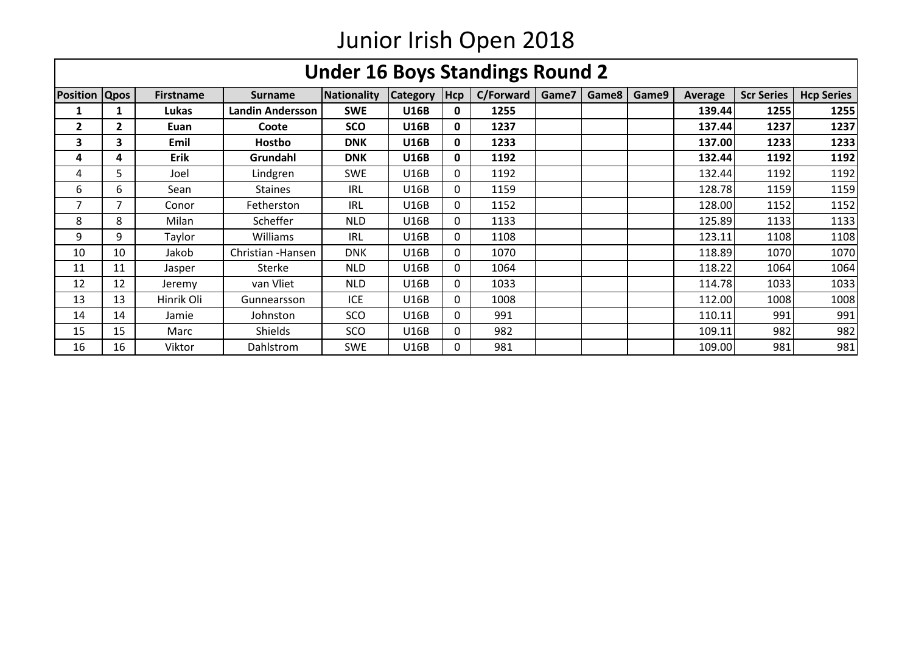|                      | <b>Under 16 Boys Standings Round 2</b> |                  |                         |                    |                 |            |           |       |       |       |                |                   |                   |
|----------------------|----------------------------------------|------------------|-------------------------|--------------------|-----------------|------------|-----------|-------|-------|-------|----------------|-------------------|-------------------|
| <b>Position Qpos</b> |                                        | <b>Firstname</b> | <b>Surname</b>          | <b>Nationality</b> | <b>Category</b> | <b>Hcp</b> | C/Forward | Game7 | Game8 | Game9 | <b>Average</b> | <b>Scr Series</b> | <b>Hcp Series</b> |
|                      |                                        | Lukas            | <b>Landin Andersson</b> | <b>SWE</b>         | <b>U16B</b>     | 0          | 1255      |       |       |       | 139.44         | 1255              | 1255              |
| 2                    | $\mathbf{2}$                           | Euan             | Coote                   | <b>SCO</b>         | <b>U16B</b>     | 0          | 1237      |       |       |       | 137.44         | 1237              | 1237              |
| 3                    | 3                                      | Emil             | <b>Hostbo</b>           | <b>DNK</b>         | <b>U16B</b>     | 0          | 1233      |       |       |       | 137.00         | 1233              | 1233              |
| 4                    | 4                                      | <b>Erik</b>      | Grundahl                | <b>DNK</b>         | <b>U16B</b>     | 0          | 1192      |       |       |       | 132.44         | 1192              | 1192              |
| 4                    | 5.                                     | Joel             | Lindgren                | <b>SWE</b>         | U16B            | 0          | 1192      |       |       |       | 132.44         | 1192              | 1192              |
| 6                    | 6                                      | Sean             | <b>Staines</b>          | <b>IRL</b>         | U16B            | 0          | 1159      |       |       |       | 128.78         | 1159              | 1159              |
| 7                    | 7                                      | Conor            | Fetherston              | IRL                | <b>U16B</b>     | 0          | 1152      |       |       |       | 128.00         | 1152              | 1152              |
| 8                    | 8                                      | Milan            | Scheffer                | <b>NLD</b>         | <b>U16B</b>     | 0          | 1133      |       |       |       | 125.89         | 1133              | 1133              |
| 9                    | 9                                      | Taylor           | <b>Williams</b>         | IRL                | U16B            | 0          | 1108      |       |       |       | 123.11         | 1108              | 1108              |
| 10                   | 10                                     | Jakob            | Christian - Hansen      | <b>DNK</b>         | <b>U16B</b>     | 0          | 1070      |       |       |       | 118.89         | 1070              | 1070              |
| 11                   | 11                                     | Jasper           | Sterke                  | <b>NLD</b>         | U16B            | 0          | 1064      |       |       |       | 118.22         | 1064              | 1064              |
| 12                   | 12                                     | Jeremy           | van Vliet               | <b>NLD</b>         | U16B            | 0          | 1033      |       |       |       | 114.78         | 1033              | 1033              |
| 13                   | 13                                     | Hinrik Oli       | Gunnearsson             | <b>ICE</b>         | U16B            | 0          | 1008      |       |       |       | 112.00         | 1008              | 1008              |
| 14                   | 14                                     | Jamie            | Johnston                | SCO                | U16B            | 0          | 991       |       |       |       | 110.11         | 991               | 991               |
| 15                   | 15                                     | Marc             | <b>Shields</b>          | SCO                | U16B            | 0          | 982       |       |       |       | 109.11         | 982               | 982               |
| 16                   | 16                                     | Viktor           | Dahlstrom               | <b>SWE</b>         | U16B            | 0          | 981       |       |       |       | 109.00         | 981               | 981               |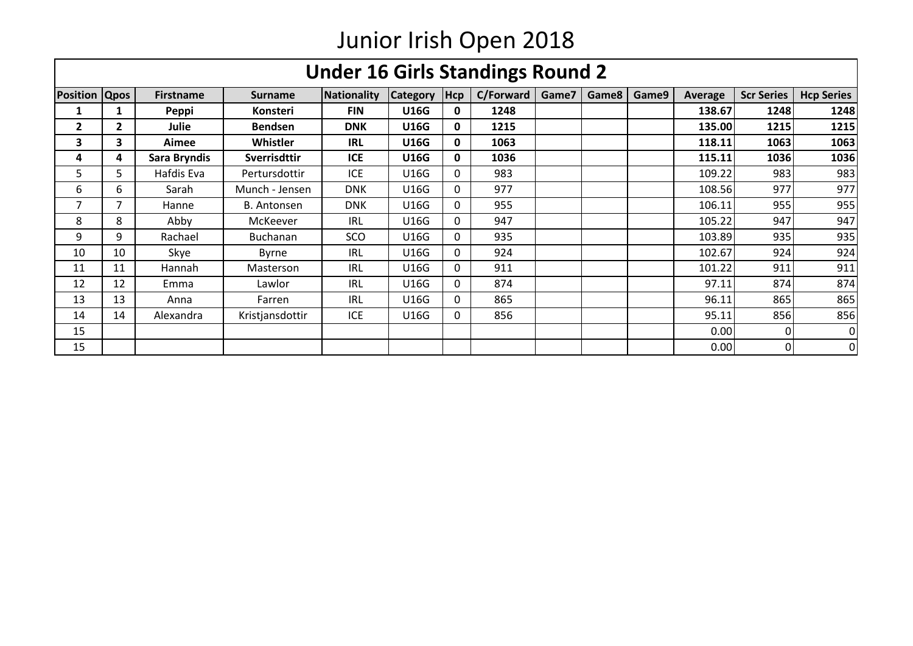|                      | <b>Under 16 Girls Standings Round 2</b> |                  |                      |             |                 |              |           |       |       |       |         |                   |                   |
|----------------------|-----------------------------------------|------------------|----------------------|-------------|-----------------|--------------|-----------|-------|-------|-------|---------|-------------------|-------------------|
| <b>Position Qpos</b> |                                         | <b>Firstname</b> | <b>Surname</b>       | Nationality | <b>Category</b> | <b>Hcp</b>   | C/Forward | Game7 | Game8 | Game9 | Average | <b>Scr Series</b> | <b>Hcp Series</b> |
|                      |                                         | Peppi            | <b>Konsteri</b>      | <b>FIN</b>  | <b>U16G</b>     | 0            | 1248      |       |       |       | 138.67  | 1248              | 1248              |
| 2                    | $\mathbf{2}$                            | Julie            | <b>Bendsen</b>       | <b>DNK</b>  | <b>U16G</b>     | $\mathbf{0}$ | 1215      |       |       |       | 135.00  | 1215              | 1215              |
| 3                    | 3.                                      | Aimee            | <b>Whistler</b>      | <b>IRL</b>  | <b>U16G</b>     | 0            | 1063      |       |       |       | 118.11  | 1063              | 1063              |
| 4                    | 4                                       | Sara Bryndis     | Sverrisdttir         | <b>ICE</b>  | <b>U16G</b>     | $\mathbf{0}$ | 1036      |       |       |       | 115.11  | 1036              | 1036              |
| 5                    | 5.                                      | Hafdis Eva       | <b>Pertursdottir</b> | <b>ICE</b>  | U16G            | 0            | 983       |       |       |       | 109.22  | 983               | 983               |
| 6                    | 6.                                      | Sarah            | Munch - Jensen       | <b>DNK</b>  | <b>U16G</b>     | 0            | 977       |       |       |       | 108.56  | 977               | 977               |
| 7                    | 7                                       | Hanne            | <b>B.</b> Antonsen   | <b>DNK</b>  | U16G            | 0            | 955       |       |       |       | 106.11  | 955               | 955               |
| 8                    | 8                                       | Abby             | McKeever             | <b>IRL</b>  | U16G            | 0            | 947       |       |       |       | 105.22  | 947               | 947               |
| 9                    | 9                                       | Rachael          | <b>Buchanan</b>      | SCO         | U16G            | 0            | 935       |       |       |       | 103.89  | 935               | 935               |
| 10                   | 10                                      | Skye             | <b>Byrne</b>         | IRL         | U16G            | 0            | 924       |       |       |       | 102.67  | 924               | 924               |
| 11                   | 11                                      | Hannah           | Masterson            | <b>IRL</b>  | U16G            | 0            | 911       |       |       |       | 101.22  | 911               | 911               |
| 12                   | 12                                      | Emma             | Lawlor               | <b>IRL</b>  | U16G            | 0            | 874       |       |       |       | 97.11   | 874               | 874               |
| 13                   | 13                                      | Anna             | Farren               | <b>IRL</b>  | U16G            | 0            | 865       |       |       |       | 96.11   | 865               | 865               |
| 14                   | 14                                      | Alexandra        | Kristjansdottir      | <b>ICE</b>  | U16G            | 0            | 856       |       |       |       | 95.11   | 856               | 856               |
| 15                   |                                         |                  |                      |             |                 |              |           |       |       |       | 0.00    | ΩI                | 0                 |
| 15                   |                                         |                  |                      |             |                 |              |           |       |       |       | 0.00    | Οl                | 0                 |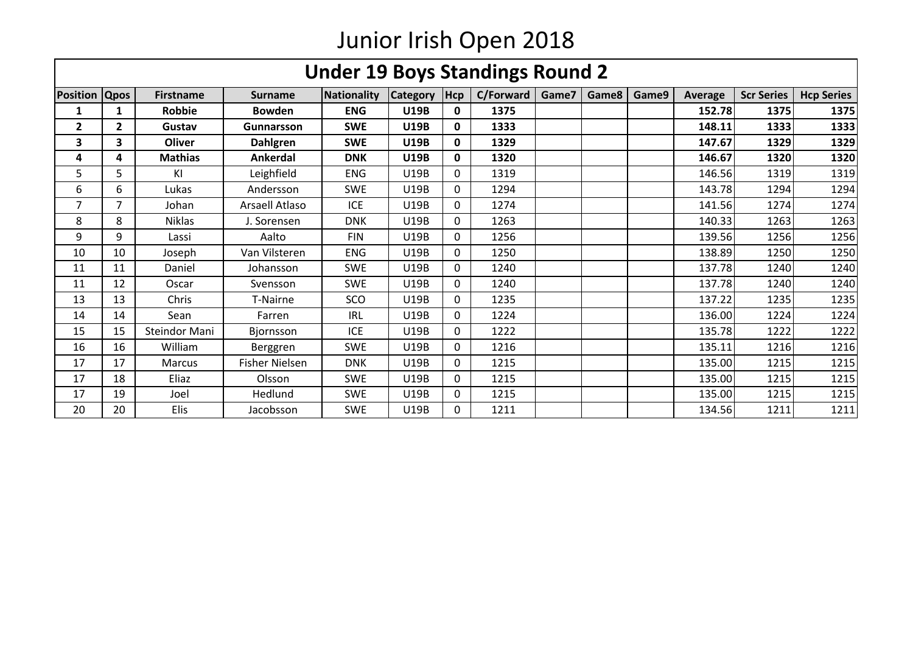|                         | <b>Under 19 Boys Standings Round 2</b> |                  |                       |                    |                 |              |           |       |       |       |         |                   |                   |
|-------------------------|----------------------------------------|------------------|-----------------------|--------------------|-----------------|--------------|-----------|-------|-------|-------|---------|-------------------|-------------------|
| <b>Position</b>         | <b>Qpos</b>                            | <b>Firstname</b> | <b>Surname</b>        | <b>Nationality</b> | <b>Category</b> | <b>Hcp</b>   | C/Forward | Game7 | Game8 | Game9 | Average | <b>Scr Series</b> | <b>Hcp Series</b> |
| 1                       | 1                                      | Robbie           | <b>Bowden</b>         | <b>ENG</b>         | <b>U19B</b>     | $\mathbf{0}$ | 1375      |       |       |       | 152.78  | 1375              | 1375              |
| $\overline{\mathbf{2}}$ | $\mathbf{2}$                           | Gustav           | Gunnarsson            | <b>SWE</b>         | <b>U19B</b>     | $\mathbf{0}$ | 1333      |       |       |       | 148.11  | 1333              | 1333              |
| 3                       | 3                                      | <b>Oliver</b>    | <b>Dahlgren</b>       | <b>SWE</b>         | <b>U19B</b>     | $\mathbf{0}$ | 1329      |       |       |       | 147.67  | 1329              | 1329              |
| 4                       | 4                                      | <b>Mathias</b>   | Ankerdal              | <b>DNK</b>         | <b>U19B</b>     | $\mathbf{0}$ | 1320      |       |       |       | 146.67  | 1320              | 1320              |
| 5                       | 5                                      | KI               | Leighfield            | <b>ENG</b>         | <b>U19B</b>     | $\Omega$     | 1319      |       |       |       | 146.56  | 1319              | 1319              |
| 6                       | 6                                      | Lukas            | Andersson             | <b>SWE</b>         | U19B            | $\mathbf{0}$ | 1294      |       |       |       | 143.78  | 1294              | 1294              |
| 7                       | 7                                      | Johan            | Arsaell Atlaso        | <b>ICE</b>         | <b>U19B</b>     | $\mathbf{0}$ | 1274      |       |       |       | 141.56  | 1274              | 1274              |
| 8                       | 8                                      | <b>Niklas</b>    | J. Sorensen           | <b>DNK</b>         | U19B            | $\mathbf{0}$ | 1263      |       |       |       | 140.33  | 1263              | 1263              |
| 9                       | 9                                      | Lassi            | Aalto                 | <b>FIN</b>         | <b>U19B</b>     | $\Omega$     | 1256      |       |       |       | 139.56  | 1256              | 1256              |
| 10                      | 10                                     | Joseph           | Van Vilsteren         | <b>ENG</b>         | <b>U19B</b>     | $\mathbf{0}$ | 1250      |       |       |       | 138.89  | 1250              | 1250              |
| 11                      | 11                                     | Daniel           | Johansson             | <b>SWE</b>         | <b>U19B</b>     | $\mathbf{0}$ | 1240      |       |       |       | 137.78  | 1240              | 1240              |
| 11                      | 12                                     | Oscar            | Svensson              | <b>SWE</b>         | <b>U19B</b>     | 0            | 1240      |       |       |       | 137.78  | 1240              | 1240              |
| 13                      | 13                                     | Chris            | <b>T-Nairne</b>       | SCO                | <b>U19B</b>     | $\Omega$     | 1235      |       |       |       | 137.22  | 1235              | 1235              |
| 14                      | 14                                     | Sean             | Farren                | <b>IRL</b>         | <b>U19B</b>     | 0            | 1224      |       |       |       | 136.00  | 1224              | 1224              |
| 15                      | 15                                     | Steindor Mani    | <b>Bjornsson</b>      | <b>ICE</b>         | U19B            | $\mathbf{0}$ | 1222      |       |       |       | 135.78  | 1222              | 1222              |
| 16                      | 16                                     | William          | Berggren              | <b>SWE</b>         | <b>U19B</b>     | $\mathbf{0}$ | 1216      |       |       |       | 135.11  | 1216              | 1216              |
| 17                      | 17                                     | <b>Marcus</b>    | <b>Fisher Nielsen</b> | <b>DNK</b>         | <b>U19B</b>     | $\mathbf{0}$ | 1215      |       |       |       | 135.00  | 1215              | 1215              |
| 17                      | 18                                     | Eliaz            | Olsson                | <b>SWE</b>         | <b>U19B</b>     | 0            | 1215      |       |       |       | 135.00  | 1215              | 1215              |
| 17                      | 19                                     | Joel             | Hedlund               | <b>SWE</b>         | <b>U19B</b>     | $\mathbf{0}$ | 1215      |       |       |       | 135.00  | 1215              | 1215              |
| 20                      | 20                                     | Elis             | Jacobsson             | <b>SWE</b>         | U19B            | $\Omega$     | 1211      |       |       |       | 134.56  | 1211              | 1211              |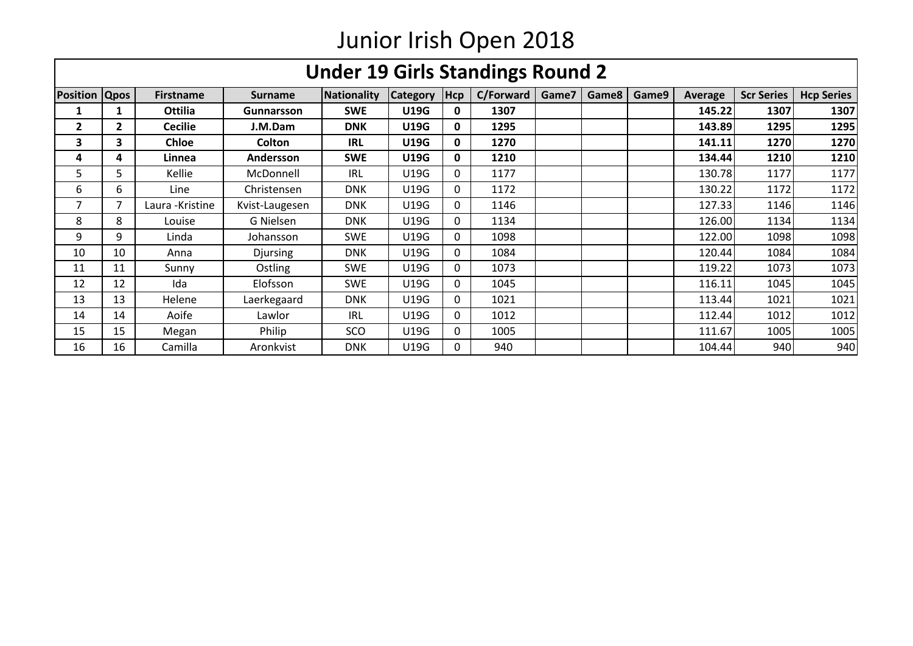|                      | <b>Under 19 Girls Standings Round 2</b> |                  |                 |                    |                 |              |           |       |       |       |                |                   |                   |
|----------------------|-----------------------------------------|------------------|-----------------|--------------------|-----------------|--------------|-----------|-------|-------|-------|----------------|-------------------|-------------------|
| <b>Position Qpos</b> |                                         | <b>Firstname</b> | <b>Surname</b>  | <b>Nationality</b> | <b>Category</b> | <b>Hcp</b>   | C/Forward | Game7 | Game8 | Game9 | <b>Average</b> | <b>Scr Series</b> | <b>Hcp Series</b> |
|                      |                                         | Ottilia          | Gunnarsson      | <b>SWE</b>         | <b>U19G</b>     | 0            | 1307      |       |       |       | 145.22         | 1307              | 1307              |
| 2                    | $\mathbf{2}$                            | <b>Cecilie</b>   | J.M.Dam         | <b>DNK</b>         | <b>U19G</b>     | 0            | 1295      |       |       |       | 143.89         | 1295              | 1295              |
| 3                    | 3                                       | <b>Chloe</b>     | Colton          | <b>IRL</b>         | <b>U19G</b>     | 0            | 1270      |       |       |       | 141.11         | 1270              | 1270              |
| 4                    | 4                                       | Linnea           | Andersson       | <b>SWE</b>         | <b>U19G</b>     | 0            | 1210      |       |       |       | 134.44         | 1210              | 1210              |
| 5                    | 5.                                      | Kellie           | McDonnell       | <b>IRL</b>         | U19G            | 0            | 1177      |       |       |       | 130.78         | 1177              | 1177              |
| 6                    | 6.                                      | Line             | Christensen     | <b>DNK</b>         | U19G            | 0            | 1172      |       |       |       | 130.22         | 1172              | 1172              |
| 7                    | 7                                       | Laura - Kristine | Kvist-Laugesen  | <b>DNK</b>         | U19G            | 0            | 1146      |       |       |       | 127.33         | 1146              | 1146              |
| 8                    | 8                                       | Louise           | G Nielsen       | <b>DNK</b>         | U19G            | 0            | 1134      |       |       |       | 126.00         | 1134              | 1134              |
| 9                    | 9                                       | Linda            | Johansson       | <b>SWE</b>         | U19G            | $\mathbf{0}$ | 1098      |       |       |       | 122.00         | 1098              | 1098              |
| 10                   | 10                                      | Anna             | <b>Djursing</b> | <b>DNK</b>         | U19G            | 0            | 1084      |       |       |       | 120.44         | 1084              | 1084              |
| 11                   | 11                                      | Sunny            | Ostling         | <b>SWE</b>         | U19G            | $\mathbf{0}$ | 1073      |       |       |       | 119.22         | 1073              | 1073              |
| 12                   | 12                                      | Ida              | Elofsson        | <b>SWE</b>         | U19G            | 0            | 1045      |       |       |       | 116.11         | 1045              | 1045              |
| 13                   | 13                                      | Helene           | Laerkegaard     | <b>DNK</b>         | U19G            | $\mathbf{0}$ | 1021      |       |       |       | 113.44         | 1021              | 1021              |
| 14                   | 14                                      | Aoife            | Lawlor          | <b>IRL</b>         | U19G            | 0            | 1012      |       |       |       | 112.44         | 1012              | 1012              |
| 15                   | 15                                      | Megan            | Philip          | SCO                | U19G            | 0            | 1005      |       |       |       | 111.67         | 1005              | 1005              |
| 16                   | 16                                      | Camilla          | Aronkvist       | <b>DNK</b>         | U19G            | 0            | 940       |       |       |       | 104.44         | 940               | 940               |